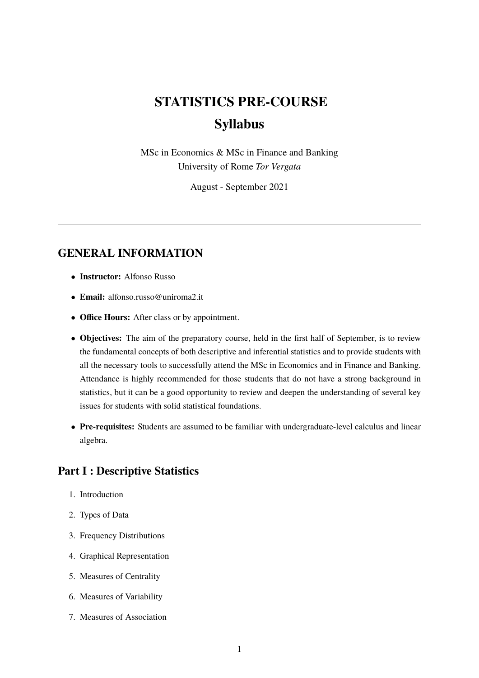# **STATISTICS PRE-COURSE Syllabus**

MSc in Economics & MSc in Finance and Banking University of Rome *Tor Vergata*

August - September 2021

## **GENERAL INFORMATION**

- **Instructor:** Alfonso Russo
- **Email:** alfonso.russo@uniroma2.it
- **Office Hours:** After class or by appointment.
- **Objectives:** The aim of the preparatory course, held in the first half of September, is to review the fundamental concepts of both descriptive and inferential statistics and to provide students with all the necessary tools to successfully attend the MSc in Economics and in Finance and Banking. Attendance is highly recommended for those students that do not have a strong background in statistics, but it can be a good opportunity to review and deepen the understanding of several key issues for students with solid statistical foundations.
- **Pre-requisites:** Students are assumed to be familiar with undergraduate-level calculus and linear algebra.

#### **Part I : Descriptive Statistics**

- 1. Introduction
- 2. Types of Data
- 3. Frequency Distributions
- 4. Graphical Representation
- 5. Measures of Centrality
- 6. Measures of Variability
- 7. Measures of Association